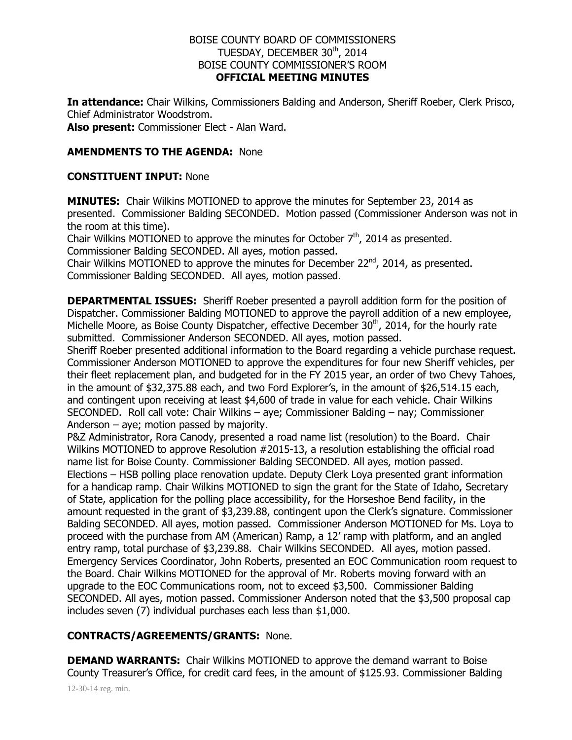#### BOISE COUNTY BOARD OF COMMISSIONERS TUESDAY, DECEMBER 30<sup>th</sup>, 2014 BOISE COUNTY COMMISSIONER'S ROOM **OFFICIAL MEETING MINUTES**

**In attendance:** Chair Wilkins, Commissioners Balding and Anderson, Sheriff Roeber, Clerk Prisco, Chief Administrator Woodstrom.

**Also present:** Commissioner Elect - Alan Ward.

## **AMENDMENTS TO THE AGENDA:** None

#### **CONSTITUENT INPUT:** None

**MINUTES:** Chair Wilkins MOTIONED to approve the minutes for September 23, 2014 as presented. Commissioner Balding SECONDED. Motion passed (Commissioner Anderson was not in the room at this time).

Chair Wilkins MOTIONED to approve the minutes for October  $7<sup>th</sup>$ , 2014 as presented. Commissioner Balding SECONDED. All ayes, motion passed.

Chair Wilkins MOTIONED to approve the minutes for December  $22^{nd}$ , 2014, as presented. Commissioner Balding SECONDED. All ayes, motion passed.

**DEPARTMENTAL ISSUES:** Sheriff Roeber presented a payroll addition form for the position of Dispatcher. Commissioner Balding MOTIONED to approve the payroll addition of a new employee, Michelle Moore, as Boise County Dispatcher, effective December 30<sup>th</sup>, 2014, for the hourly rate submitted. Commissioner Anderson SECONDED. All ayes, motion passed.

Sheriff Roeber presented additional information to the Board regarding a vehicle purchase request. Commissioner Anderson MOTIONED to approve the expenditures for four new Sheriff vehicles, per their fleet replacement plan, and budgeted for in the FY 2015 year, an order of two Chevy Tahoes, in the amount of \$32,375.88 each, and two Ford Explorer's, in the amount of \$26,514.15 each, and contingent upon receiving at least \$4,600 of trade in value for each vehicle. Chair Wilkins SECONDED. Roll call vote: Chair Wilkins – aye; Commissioner Balding – nay; Commissioner Anderson – aye; motion passed by majority.

P&Z Administrator, Rora Canody, presented a road name list (resolution) to the Board. Chair Wilkins MOTIONED to approve Resolution #2015-13, a resolution establishing the official road name list for Boise County. Commissioner Balding SECONDED. All ayes, motion passed. Elections – HSB polling place renovation update. Deputy Clerk Loya presented grant information for a handicap ramp. Chair Wilkins MOTIONED to sign the grant for the State of Idaho, Secretary of State, application for the polling place accessibility, for the Horseshoe Bend facility, in the amount requested in the grant of \$3,239.88, contingent upon the Clerk's signature. Commissioner Balding SECONDED. All ayes, motion passed. Commissioner Anderson MOTIONED for Ms. Loya to proceed with the purchase from AM (American) Ramp, a 12' ramp with platform, and an angled entry ramp, total purchase of \$3,239.88. Chair Wilkins SECONDED. All ayes, motion passed. Emergency Services Coordinator, John Roberts, presented an EOC Communication room request to the Board. Chair Wilkins MOTIONED for the approval of Mr. Roberts moving forward with an upgrade to the EOC Communications room, not to exceed \$3,500. Commissioner Balding SECONDED. All ayes, motion passed. Commissioner Anderson noted that the \$3,500 proposal cap includes seven (7) individual purchases each less than \$1,000.

# **CONTRACTS/AGREEMENTS/GRANTS:** None.

12-30-14 reg. min. **DEMAND WARRANTS:** Chair Wilkins MOTIONED to approve the demand warrant to Boise County Treasurer's Office, for credit card fees, in the amount of \$125.93. Commissioner Balding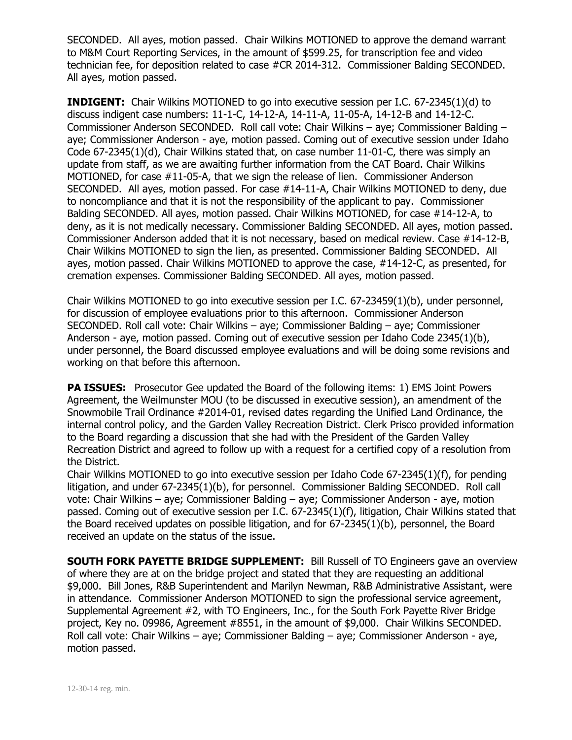SECONDED. All ayes, motion passed. Chair Wilkins MOTIONED to approve the demand warrant to M&M Court Reporting Services, in the amount of \$599.25, for transcription fee and video technician fee, for deposition related to case #CR 2014-312. Commissioner Balding SECONDED. All ayes, motion passed.

**INDIGENT:** Chair Wilkins MOTIONED to go into executive session per I.C. 67-2345(1)(d) to discuss indigent case numbers: 11-1-C, 14-12-A, 14-11-A, 11-05-A, 14-12-B and 14-12-C. Commissioner Anderson SECONDED. Roll call vote: Chair Wilkins – aye; Commissioner Balding – aye; Commissioner Anderson - aye, motion passed. Coming out of executive session under Idaho Code 67-2345(1)(d), Chair Wilkins stated that, on case number 11-01-C, there was simply an update from staff, as we are awaiting further information from the CAT Board. Chair Wilkins MOTIONED, for case #11-05-A, that we sign the release of lien. Commissioner Anderson SECONDED. All ayes, motion passed. For case #14-11-A, Chair Wilkins MOTIONED to deny, due to noncompliance and that it is not the responsibility of the applicant to pay. Commissioner Balding SECONDED. All ayes, motion passed. Chair Wilkins MOTIONED, for case #14-12-A, to deny, as it is not medically necessary. Commissioner Balding SECONDED. All ayes, motion passed. Commissioner Anderson added that it is not necessary, based on medical review. Case #14-12-B, Chair Wilkins MOTIONED to sign the lien, as presented. Commissioner Balding SECONDED. All ayes, motion passed. Chair Wilkins MOTIONED to approve the case, #14-12-C, as presented, for cremation expenses. Commissioner Balding SECONDED. All ayes, motion passed.

Chair Wilkins MOTIONED to go into executive session per I.C. 67-23459(1)(b), under personnel, for discussion of employee evaluations prior to this afternoon. Commissioner Anderson SECONDED. Roll call vote: Chair Wilkins – aye; Commissioner Balding – aye; Commissioner Anderson - aye, motion passed. Coming out of executive session per Idaho Code 2345(1)(b), under personnel, the Board discussed employee evaluations and will be doing some revisions and working on that before this afternoon.

**PA ISSUES:** Prosecutor Gee updated the Board of the following items: 1) EMS Joint Powers Agreement, the Weilmunster MOU (to be discussed in executive session), an amendment of the Snowmobile Trail Ordinance #2014-01, revised dates regarding the Unified Land Ordinance, the internal control policy, and the Garden Valley Recreation District. Clerk Prisco provided information to the Board regarding a discussion that she had with the President of the Garden Valley Recreation District and agreed to follow up with a request for a certified copy of a resolution from the District.

Chair Wilkins MOTIONED to go into executive session per Idaho Code 67-2345(1)(f), for pending litigation, and under 67-2345(1)(b), for personnel. Commissioner Balding SECONDED. Roll call vote: Chair Wilkins – aye; Commissioner Balding – aye; Commissioner Anderson - aye, motion passed. Coming out of executive session per I.C. 67-2345(1)(f), litigation, Chair Wilkins stated that the Board received updates on possible litigation, and for 67-2345(1)(b), personnel, the Board received an update on the status of the issue.

**SOUTH FORK PAYETTE BRIDGE SUPPLEMENT:** Bill Russell of TO Engineers gave an overview of where they are at on the bridge project and stated that they are requesting an additional \$9,000. Bill Jones, R&B Superintendent and Marilyn Newman, R&B Administrative Assistant, were in attendance. Commissioner Anderson MOTIONED to sign the professional service agreement, Supplemental Agreement #2, with TO Engineers, Inc., for the South Fork Payette River Bridge project, Key no. 09986, Agreement #8551, in the amount of \$9,000. Chair Wilkins SECONDED. Roll call vote: Chair Wilkins – aye; Commissioner Balding – aye; Commissioner Anderson - aye, motion passed.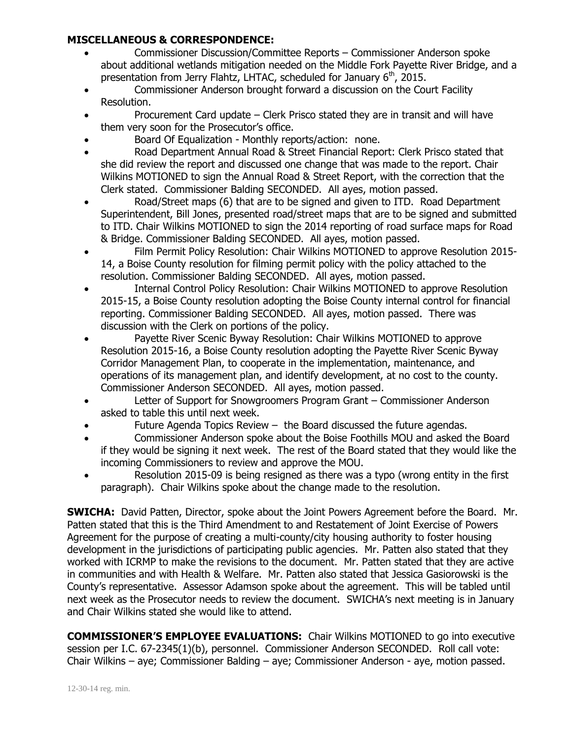### **MISCELLANEOUS & CORRESPONDENCE:**

- Commissioner Discussion/Committee Reports Commissioner Anderson spoke about additional wetlands mitigation needed on the Middle Fork Payette River Bridge, and a presentation from Jerry Flahtz, LHTAC, scheduled for January  $6<sup>th</sup>$ , 2015.
- Commissioner Anderson brought forward a discussion on the Court Facility Resolution.
- Procurement Card update Clerk Prisco stated they are in transit and will have them very soon for the Prosecutor's office.
- Board Of Equalization Monthly reports/action: none.
- Road Department Annual Road & Street Financial Report: Clerk Prisco stated that she did review the report and discussed one change that was made to the report. Chair Wilkins MOTIONED to sign the Annual Road & Street Report, with the correction that the Clerk stated. Commissioner Balding SECONDED. All ayes, motion passed.
- Road/Street maps (6) that are to be signed and given to ITD. Road Department Superintendent, Bill Jones, presented road/street maps that are to be signed and submitted to ITD. Chair Wilkins MOTIONED to sign the 2014 reporting of road surface maps for Road & Bridge. Commissioner Balding SECONDED. All ayes, motion passed.
- Film Permit Policy Resolution: Chair Wilkins MOTIONED to approve Resolution 2015- 14, a Boise County resolution for filming permit policy with the policy attached to the resolution. Commissioner Balding SECONDED. All ayes, motion passed.
- Internal Control Policy Resolution: Chair Wilkins MOTIONED to approve Resolution 2015-15, a Boise County resolution adopting the Boise County internal control for financial reporting. Commissioner Balding SECONDED. All ayes, motion passed. There was discussion with the Clerk on portions of the policy.
- Payette River Scenic Byway Resolution: Chair Wilkins MOTIONED to approve Resolution 2015-16, a Boise County resolution adopting the Payette River Scenic Byway Corridor Management Plan, to cooperate in the implementation, maintenance, and operations of its management plan, and identify development, at no cost to the county. Commissioner Anderson SECONDED. All ayes, motion passed.
- Letter of Support for Snowgroomers Program Grant Commissioner Anderson asked to table this until next week.
- Future Agenda Topics Review the Board discussed the future agendas.
- Commissioner Anderson spoke about the Boise Foothills MOU and asked the Board if they would be signing it next week. The rest of the Board stated that they would like the incoming Commissioners to review and approve the MOU.
- Resolution 2015-09 is being resigned as there was a typo (wrong entity in the first paragraph). Chair Wilkins spoke about the change made to the resolution.

**SWICHA:** David Patten, Director, spoke about the Joint Powers Agreement before the Board. Mr. Patten stated that this is the Third Amendment to and Restatement of Joint Exercise of Powers Agreement for the purpose of creating a multi-county/city housing authority to foster housing development in the jurisdictions of participating public agencies. Mr. Patten also stated that they worked with ICRMP to make the revisions to the document. Mr. Patten stated that they are active in communities and with Health & Welfare. Mr. Patten also stated that Jessica Gasiorowski is the County's representative. Assessor Adamson spoke about the agreement. This will be tabled until next week as the Prosecutor needs to review the document. SWICHA's next meeting is in January and Chair Wilkins stated she would like to attend.

**COMMISSIONER'S EMPLOYEE EVALUATIONS:** Chair Wilkins MOTIONED to go into executive session per I.C. 67-2345(1)(b), personnel. Commissioner Anderson SECONDED. Roll call vote: Chair Wilkins – aye; Commissioner Balding – aye; Commissioner Anderson - aye, motion passed.